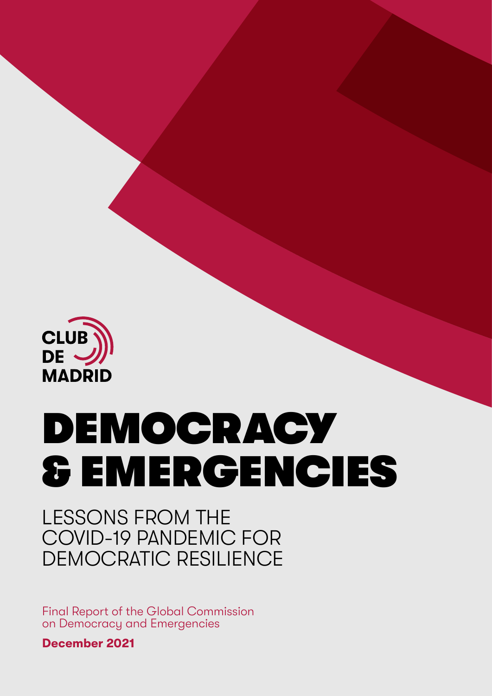

# **DEMOCRACY & EMERGENCIES**

## LESSONS FROM THE COVID-19 PANDEMIC FOR DEMOCRATIC RESILIENCE

Final Report of the Global Commission on Democracy and Emergencies

**December 2021**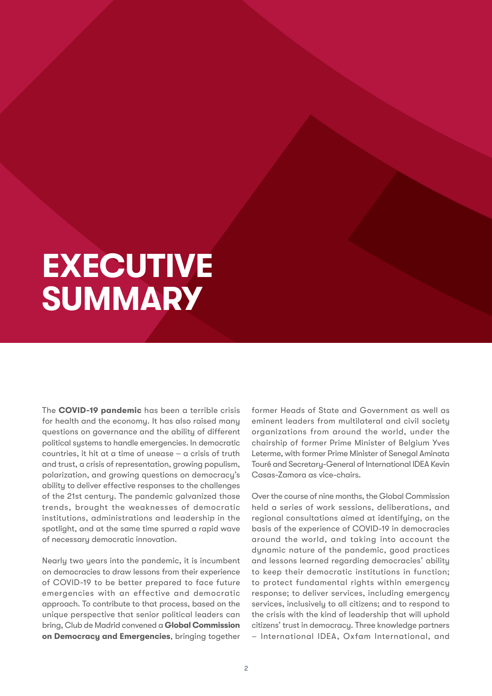## **EXECUTIVE SUMMARY**

The **COVID-19 pandemic** has been a terrible crisis for health and the economy. It has also raised many questions on governance and the ability of different political systems to handle emergencies. In democratic countries, it hit at a time of unease – a crisis of truth and trust, a crisis of representation, growing populism, polarization, and growing questions on democracy's ability to deliver effective responses to the challenges of the 21st century. The pandemic galvanized those trends, brought the weaknesses of democratic institutions, administrations and leadership in the spotlight, and at the same time spurred a rapid wave of necessary democratic innovation.

Nearly two years into the pandemic, it is incumbent on democracies to draw lessons from their experience of COVID-19 to be better prepared to face future emergencies with an effective and democratic approach. To contribute to that process, based on the unique perspective that senior political leaders can bring, Club de Madrid convened a **Global Commission on Democracy and Emergencies**, bringing together

former Heads of State and Government as well as eminent leaders from multilateral and civil society organizations from around the world, under the chairship of former Prime Minister of Belgium Yves Leterme, with former Prime Minister of Senegal Aminata Touré and Secretary-General of International IDEA Kevin Casas-Zamora as vice-chairs.

Over the course of nine months, the Global Commission held a series of work sessions, deliberations, and regional consultations aimed at identifying, on the basis of the experience of COVID-19 in democracies around the world, and taking into account the dynamic nature of the pandemic, good practices and lessons learned regarding democracies' ability to keep their democratic institutions in function; to protect fundamental rights within emergency response; to deliver services, including emergency services, inclusively to all citizens; and to respond to the crisis with the kind of leadership that will uphold citizens' trust in democracy. Three knowledge partners – International IDEA, Oxfam International, and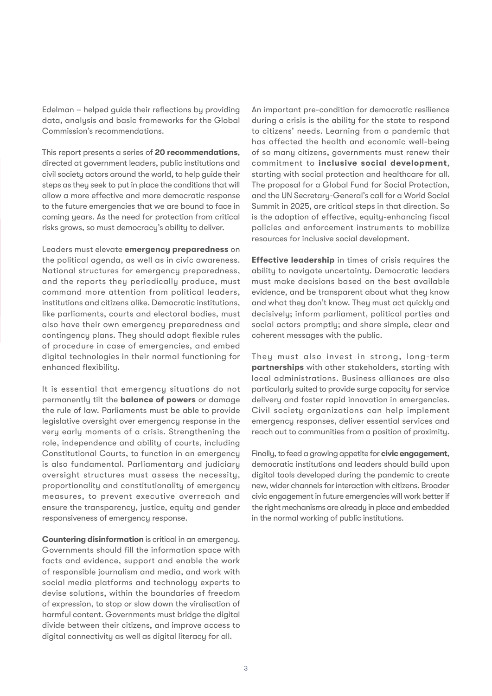Edelman – helped guide their reflections by providing data, analysis and basic frameworks for the Global Commission's recommendations.

This report presents a series of **20 recommendations**, directed at government leaders, public institutions and civil society actors around the world, to help guide their steps as they seek to put in place the conditions that will allow a more effective and more democratic response to the future emergencies that we are bound to face in coming years. As the need for protection from critical risks grows, so must democracy's ability to deliver.

Leaders must elevate **emergency preparedness** on the political agenda, as well as in civic awareness. National structures for emergency preparedness, and the reports they periodically produce, must command more attention from political leaders, institutions and citizens alike. Democratic institutions, like parliaments, courts and electoral bodies, must also have their own emergency preparedness and contingency plans. They should adopt flexible rules of procedure in case of emergencies, and embed digital technologies in their normal functioning for enhanced flexibility.

It is essential that emergency situations do not permanently tilt the **balance of powers** or damage the rule of law. Parliaments must be able to provide legislative oversight over emergency response in the very early moments of a crisis. Strengthening the role, independence and ability of courts, including Constitutional Courts, to function in an emergency is also fundamental. Parliamentary and judiciary oversight structures must assess the necessity, proportionality and constitutionality of emergency measures, to prevent executive overreach and ensure the transparency, justice, equity and gender responsiveness of emergency response.

**Countering disinformation** is critical in an emergency. Governments should fill the information space with facts and evidence, support and enable the work of responsible journalism and media, and work with social media platforms and technology experts to devise solutions, within the boundaries of freedom of expression, to stop or slow down the viralisation of harmful content. Governments must bridge the digital divide between their citizens, and improve access to digital connectivity as well as digital literacy for all.

An important pre-condition for democratic resilience during a crisis is the ability for the state to respond to citizens' needs. Learning from a pandemic that has affected the health and economic well-being of so many citizens, governments must renew their commitment to **inclusive social development**, starting with social protection and healthcare for all. The proposal for a Global Fund for Social Protection, and the UN Secretary-General's call for a World Social Summit in 2025, are critical steps in that direction. So is the adoption of effective, equity-enhancing fiscal policies and enforcement instruments to mobilize resources for inclusive social development.

**Effective leadership** in times of crisis requires the ability to navigate uncertainty. Democratic leaders must make decisions based on the best available evidence, and be transparent about what they know and what they don't know. They must act quickly and decisively; inform parliament, political parties and social actors promptly; and share simple, clear and coherent messages with the public.

They must also invest in strong, long-term **partnerships** with other stakeholders, starting with local administrations. Business alliances are also particularly suited to provide surge capacity for service delivery and foster rapid innovation in emergencies. Civil society organizations can help implement emergency responses, deliver essential services and reach out to communities from a position of proximity.

Finally, to feed a growing appetite for **civic engagement**, democratic institutions and leaders should build upon digital tools developed during the pandemic to create new, wider channels for interaction with citizens. Broader civic engagement in future emergencies will work better if the right mechanisms are already in place and embedded in the normal working of public institutions.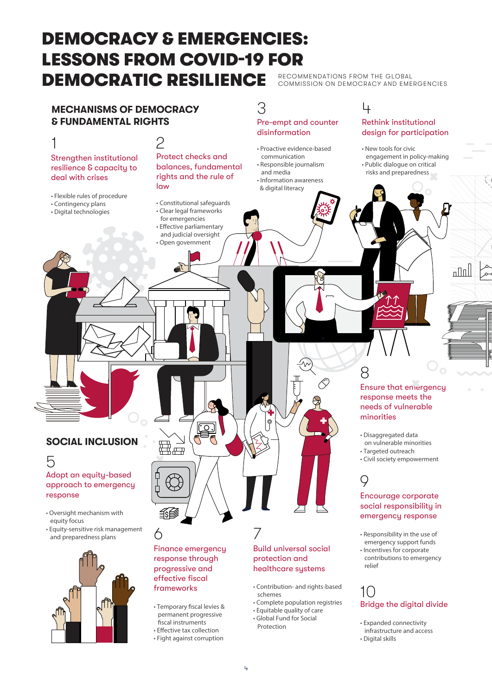## DEMOCRACY & EMERGENCIES: LESSONS FROM COVID-19 FOR DEMOCRATIC RESILIENCE RECOMMENDATIONS FROM THE GLOBAL

COMMISSION ON DEMOCRACY AND EMERGENCIES



- Expanded connectivity infrastructure and access
- Digital skills

• Global Fund for Social Protection

fiscal instruments • Effective tax collection • Fight against corruption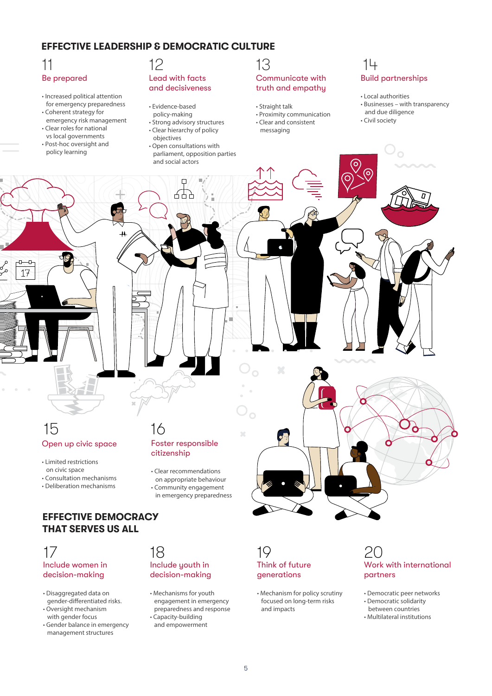#### **EFFECTIVE LEADERSHIP & DEMOCRATIC CULTURE**

## Be prepared

- 
- Increased political attention for emergency preparedness
- Coherent strategy for emergency risk management
- Clear roles for national vs local governments
- Post-hoc oversight and policy learning

#### Lead with facts and decisiveness

- Evidence-based policy-making
- Strong advisory structures
- Clear hierarchy of policy objectives
- Open consultations with parliament, opposition parties and social actors

Ó

#### Communicate with truth and empathy 11 12 13 14

- Straight talk
- Proximity communication
- Clear and consistent messaging

## Build partnerships

- Local authorities
- Businesses with transparency and due diligence
- Civil society

Open up civic space 15 16

- Limited restrictions on civic space • Consultation mechanisms
- Deliberation mechanisms

#### **EFFECTIVE DEMOCRACY THAT SERVES US ALL**

#### Include women in decision-making 17 18 19 20

- Disaggregated data on gender-differentiated risks.
- Oversight mechanism with gender focus
- Gender balance in emergency management structures

### Foster responsible citizenship

Ħ

- Clear recommendations
- on appropriate behaviour
- Community engagement
- in emergency preparedness
- 

### Include youth in decision-making

- Mechanisms for youth engagement in emergency preparedness and response • Capacity-building
- and empowerment

### Think of future generations

• Mechanism for policy scrutiny focused on long-term risks and impacts

## Work with international partners

- Democratic peer networks
- Democratic solidarity
- between countries • Multilateral institutions

5